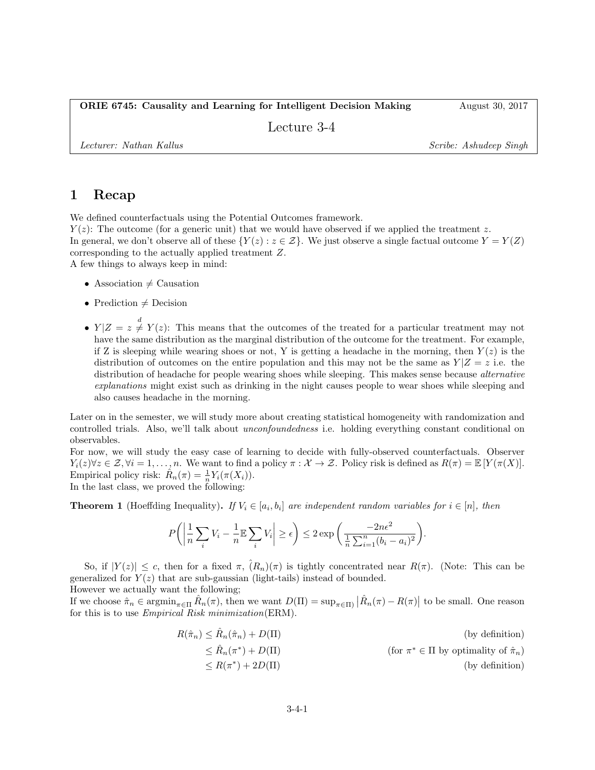Lecture 3-4

Lecturer: Nathan Kallus Scribe: Ashudeep Singh

### 1 Recap

We defined counterfactuals using the Potential Outcomes framework.

 $Y(z)$ : The outcome (for a generic unit) that we would have observed if we applied the treatment z. In general, we don't observe all of these  $\{Y(z): z \in \mathcal{Z}\}\.$  We just observe a single factual outcome  $Y = Y(Z)$ corresponding to the actually applied treatment Z. A few things to always keep in mind:

• Association  $\neq$  Causation

- Prediction  $\neq$  Decision
- $Y|Z=z \neq Y(z)$ : This means that the outcomes of the treated for a particular treatment may not have the same distribution as the marginal distribution of the outcome for the treatment. For example, if Z is sleeping while wearing shoes or not, Y is getting a headache in the morning, then  $Y(z)$  is the distribution of outcomes on the entire population and this may not be the same as  $Y|Z = z$  i.e. the distribution of headache for people wearing shoes while sleeping. This makes sense because *alternative* explanations might exist such as drinking in the night causes people to wear shoes while sleeping and also causes headache in the morning.

Later on in the semester, we will study more about creating statistical homogeneity with randomization and controlled trials. Also, we'll talk about *unconfoundedness* i.e. holding everything constant conditional on observables.

For now, we will study the easy case of learning to decide with fully-observed counterfactuals. Observer  $Y_i(z) \forall z \in \mathcal{Z}, \forall i = 1, \ldots, n$ . We want to find a policy  $\pi : \mathcal{X} \to \mathcal{Z}$ . Policy risk is defined as  $R(\pi) = \mathbb{E}[Y(\pi(X))]$ . Empirical policy risk:  $\hat{R}_n(\pi) = \frac{1}{n} Y_i(\pi(X_i)).$ 

In the last class, we proved the following:

**Theorem 1** (Hoeffding Inequality). If  $V_i \in [a_i, b_i]$  are independent random variables for  $i \in [n]$ , then

$$
P\bigg(\bigg|\frac{1}{n}\sum_{i}V_i - \frac{1}{n}\mathbb{E}\sum_{i}V_i\bigg|\geq \epsilon\bigg) \leq 2\exp\bigg(\frac{-2n\epsilon^2}{\frac{1}{n}\sum_{i=1}^n(b_i - a_i)^2}\bigg).
$$

So, if  $|Y(z)| \leq c$ , then for a fixed  $\pi$ ,  $(R_n)(\pi)$  is tightly concentrated near  $R(\pi)$ . (Note: This can be generalized for  $Y(z)$  that are sub-gaussian (light-tails) instead of bounded. However we actually want the following;

If we choose  $\hat{\pi}_n \in \operatorname{argmin}_{\pi \in \Pi} \hat{R}_n(\pi)$ , then we want  $D(\Pi) = \sup_{\pi \in \Pi} |\hat{R}_n(\pi) - R(\pi)|$  to be small. One reason for this is to use *Empirical Risk minimization* (ERM).

$$
R(\hat{\pi}_n) \le \hat{R}_n(\hat{\pi}_n) + D(\Pi)
$$
 (by definition)  
\n
$$
\le \hat{R}_n(\pi^*) + D(\Pi)
$$
 (for  $\pi^* \in \Pi$  by optimality of  $\hat{\pi}_n$ )  
\n
$$
\le R(\pi^*) + 2D(\Pi)
$$
 (by definition)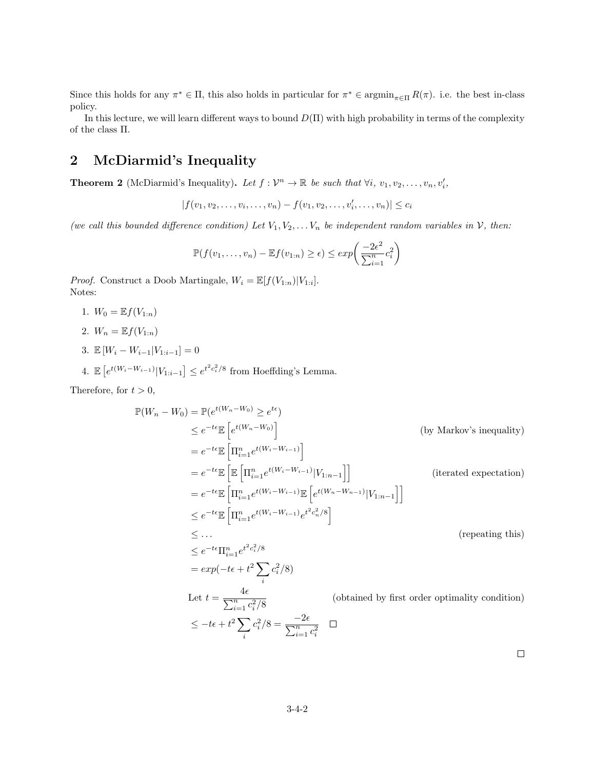Since this holds for any  $\pi^* \in \Pi$ , this also holds in particular for  $\pi^* \in \text{argmin}_{\pi \in \Pi} R(\pi)$ . i.e. the best in-class policy.

In this lecture, we will learn different ways to bound  $D(\Pi)$  with high probability in terms of the complexity of the class Π.

## 2 McDiarmid's Inequality

**Theorem 2** (McDiarmid's Inequality). Let  $f: \mathcal{V}^n \to \mathbb{R}$  be such that  $\forall i, v_1, v_2, \ldots, v_n, v'_i$ ,

 $|f(v_1, v_2, \ldots, v_i, \ldots, v_n) - f(v_1, v_2, \ldots, v'_i, \ldots, v_n)| \leq c_i$ 

(we call this bounded difference condition) Let  $V_1, V_2, \ldots V_n$  be independent random variables in V, then:

$$
\mathbb{P}(f(v_1,\ldots,v_n)-\mathbb{E}f(v_{1:n})\geq \epsilon)\leq exp\bigg(\frac{-2\epsilon^2}{\sum_{i=1}^n c_i^2}\bigg)
$$

*Proof.* Construct a Doob Martingale,  $W_i = \mathbb{E}[f(V_{1:n})|V_{1:i}]$ . Notes:

- 1.  $W_0 = \mathbb{E} f(V_{1:n})$
- 2.  $W_n = \mathbb{E} f(V_{1:n})$
- 3.  $\mathbb{E}[W_i W_{i-1}|V_{1:i-1}] = 0$
- 4.  $\mathbb{E}\left[e^{t(W_i-W_{i-1})}|V_{1:i-1}\right] \leq e^{t^2c_i^2/8}$  from Hoeffding's Lemma.

Therefore, for  $t > 0$ ,

$$
\mathbb{P}(W_n - W_0) = \mathbb{P}(e^{t(W_n - W_0)} \ge e^{te})
$$
\n
$$
\le e^{-te} \mathbb{E}\left[e^{t(W_n - W_0)}\right]
$$
\n
$$
= e^{-te} \mathbb{E}\left[\Pi_{i=1}^n e^{t(W_i - W_{i-1})}\right]
$$
\n
$$
= e^{-te} \mathbb{E}\left[\mathbb{E}\left[\Pi_{i=1}^n e^{t(W_i - W_{i-1})}|V_{1:n-1}\right]\right]
$$
\n
$$
= e^{-te} \mathbb{E}\left[\Pi_{i=1}^n e^{t(W_i - W_{i-1})} \mathbb{E}\left[e^{t(W_n - W_{n-1})}|V_{1:n-1}\right]\right]
$$
\n
$$
\le e^{-te} \mathbb{E}\left[\Pi_{i=1}^n e^{t(W_i - W_{i-1})} e^{t^2 c_n^2 / 8}\right]
$$
\n
$$
\le \dots
$$
\n
$$
\le e^{-te} \Pi_{i=1}^n e^{t^2 c_i^2 / 8}
$$
\n
$$
= exp(-te + t^2 \sum_i c_i^2 / 8)
$$
\n
$$
\text{Let } t = \frac{4\epsilon}{\sum_{i=1}^n c_i^2 / 8}
$$
\n
$$
\le -te + t^2 \sum_i c_i^2 / 8 = \frac{-2\epsilon}{\sum_{i=1}^n c_i^2} \quad \text{(obtained by first order optimality condition)}
$$
\n
$$
\le -te + t^2 \sum_i c_i^2 / 8 = \frac{-2\epsilon}{\sum_{i=1}^n c_i^2} \quad \Box
$$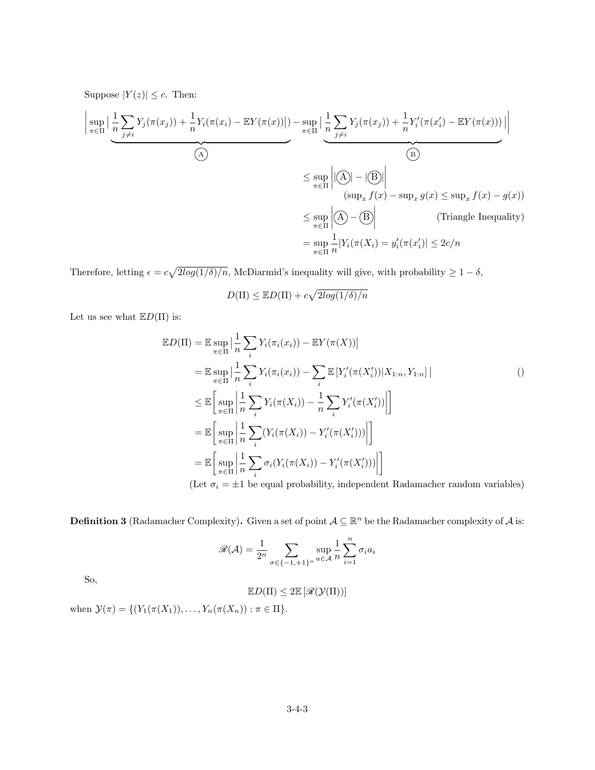Suppose  $|Y(z)| \leq c$ . Then:

$$
\left| \sup_{\pi \in \Pi} \left| \frac{1}{n} \sum_{j \neq i} Y_j(\pi(x_j)) + \frac{1}{n} Y_i(\pi(x_i) - \mathbb{E}Y(\pi(x)) |) - \sup_{\pi \in \Pi} \left| \frac{1}{n} \sum_{j \neq i} Y_j(\pi(x_j)) + \frac{1}{n} Y'_i(\pi(x'_i) - \mathbb{E}Y(\pi(x))) | \right| \right|
$$
\n
$$
\leq \sup_{\pi \in \Pi} \left| \left| \left( \frac{A}{n} \right) - \left| \frac{B}{n} \right| \right|
$$
\n
$$
\leq \sup_{\pi \in \Pi} \left| \left| \left( \frac{A}{n} \right) - \left| \frac{B}{n} \right| \right|
$$
\n
$$
\leq \sup_{\pi \in \Pi} \left| \left( \frac{A}{n} \right) - \frac{B}{n} \right| \right|
$$
\n
$$
\leq \sup_{\pi \in \Pi} \left| \left( \frac{A}{n} \right) - \frac{B}{n} \right| \tag{Triangle Inequality}
$$
\n
$$
= \sup_{\pi \in \Pi} \frac{1}{n} |Y_i(\pi(X_i) = y'_i(\pi(x'_i)) | \leq 2c/n
$$

Therefore, letting  $\epsilon = c\sqrt{2log(1/\delta)/n}$ , McDiarmid's inequality will give, with probability  $\geq 1 - \delta$ ,

$$
D(\Pi) \leq \mathbb{E}D(\Pi) + c\sqrt{2log(1/\delta)/n}
$$

Let us see what  $E D(\Pi)$  is:

$$
\mathbb{E}D(\Pi) = \mathbb{E} \sup_{\pi \in \Pi} \left| \frac{1}{n} \sum_{i} Y_{i}(\pi_{i}(x_{i})) - \mathbb{E}Y(\pi(X)) \right|
$$
  
\n
$$
= \mathbb{E} \sup_{\pi \in \Pi} \left| \frac{1}{n} \sum_{i} Y_{i}(\pi_{i}(x_{i})) - \sum_{i} \mathbb{E} \left[ Y'_{i}(\pi(X'_{i})) | X_{1:n}, Y_{1:n} \right] \right|
$$
  
\n
$$
\leq \mathbb{E} \left[ \sup_{\pi \in \Pi} \left| \frac{1}{n} \sum_{i} Y_{i}(\pi(X_{i})) - \frac{1}{n} \sum_{i} Y'_{i}(\pi(X'_{i})) \right| \right]
$$
  
\n
$$
= \mathbb{E} \left[ \sup_{\pi \in \Pi} \left| \frac{1}{n} \sum_{i} (Y_{i}(\pi(X_{i})) - Y'_{i}(\pi(X'_{i}))) \right| \right]
$$
  
\n
$$
= \mathbb{E} \left[ \sup_{\pi \in \Pi} \left| \frac{1}{n} \sum_{i} \sigma_{i} (Y_{i}(\pi(X_{i})) - Y'_{i}(\pi(X'_{i}))) \right| \right]
$$
  
\n(I et  $\pi$  = +1 be equal probability independent Bedemeken random variable)

(Let  $\sigma_i = \pm 1$  be equal probability, independent Radamacher random variables)

**Definition 3** (Radamacher Complexity). Given a set of point  $A \subseteq \mathbb{R}^n$  be the Radamacher complexity of A is:

$$
\mathscr{R}(\mathcal{A}) = \frac{1}{2^n} \sum_{\sigma \in \{-1, +1\}^n} \sup_{a \in \mathcal{A}} \frac{1}{n} \sum_{i=1}^n \sigma_i a_i
$$

So,

$$
\mathbb{E} D(\Pi) \leq 2 \mathbb{E} \left[ \mathscr{R}(\mathcal{Y}(\Pi)) \right]
$$

when  $\mathcal{Y}(\pi) = \{ (Y_1(\pi(X_1)), \ldots, Y_n(\pi(X_n)) : \pi \in \Pi \}.$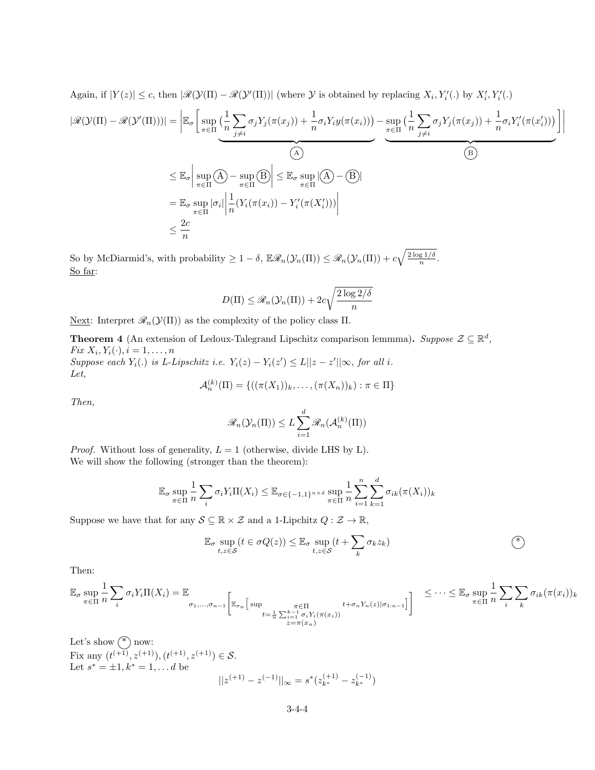Again, if 
$$
|Y(z)| \le c
$$
, then  $|\mathcal{R}(\mathcal{Y}(\Pi) - \mathcal{R}(\mathcal{Y}'(\Pi))|$  (where  $\mathcal{Y}$  is obtained by replacing  $X_i, Y_i'()$  by  $X_i', Y_i'()$   
\n $|\mathcal{R}(\mathcal{Y}(\Pi) - \mathcal{R}(\mathcal{Y}'(\Pi)))| = \left| \mathbb{E}_{\sigma} \left[ \sup_{\pi \in \Pi} \left( \frac{1}{n} \sum_{j \neq i} \sigma_j Y_j(\pi(x_j)) + \frac{1}{n} \sigma_i Y_i y(\pi(x_i)) \right) - \sup_{\pi \in \Pi} \left( \frac{1}{n} \sum_{j \neq i} \sigma_j Y_j(\pi(x_j)) + \frac{1}{n} \sigma_i Y_i'(\pi(x_i')) \right) \right] \right|$   
\n $\leq \mathbb{E}_{\sigma} \left| \sup_{\pi \in \Pi} (\mathcal{A}) - \sup_{\pi \in \Pi} (\mathcal{B}) \right| \leq \mathbb{E}_{\sigma} \sup_{\pi \in \Pi} |(\mathcal{A}) - (\mathcal{B})|$   
\n $= \mathbb{E}_{\sigma} \sup_{\pi \in \Pi} |\sigma_i| \left| \frac{1}{n} (Y_i(\pi(x_i)) - Y_i'(\pi(X_i'))) \right|$   
\n $\leq \frac{2c}{n}$ 

So by McDiarmid's, with probability  $\geq 1-\delta$ ,  $\mathbb{E}\mathscr{R}_n(\mathcal{Y}_n(\Pi)) \leq \mathscr{R}_n(\mathcal{Y}_n(\Pi)) + c\sqrt{\frac{2\log 1/\delta}{n}}$  $\frac{\lg 1/\sigma}{n}$ . So far:

$$
D(\Pi) \le \mathcal{R}_n(\mathcal{Y}_n(\Pi)) + 2c\sqrt{\frac{2\log 2/\delta}{n}}
$$

Next: Interpret  $\mathcal{R}_n(\mathcal{Y}(\Pi))$  as the complexity of the policy class  $\Pi$ .

**Theorem 4** (An extension of Ledoux-Talegrand Lipschitz comparison lemmma). Suppose  $\mathcal{Z} \subseteq \mathbb{R}^d$ , Fix  $X_i, Y_i(\cdot), i = 1, \ldots, n$ Suppose each  $Y_i(.)$  is L-Lipschitz i.e.  $Y_i(z) - Y_i(z') \leq L||z - z'||\infty$ , for all i.

Let,  $\langle k \rangle$ 

$$
\mathcal{A}_n^{(k)}(\Pi) = \{ ((\pi(X_1))_k, \ldots, (\pi(X_n))_k) : \pi \in \Pi \}
$$

Then,

$$
\mathcal{R}_n(\mathcal{Y}_n(\Pi)) \le L \sum_{i=1}^d \mathcal{R}_n(\mathcal{A}_n^{(k)}(\Pi))
$$

*Proof.* Without loss of generality,  $L = 1$  (otherwise, divide LHS by L). We will show the following (stronger than the theorem):

$$
\mathbb{E}_{\sigma} \sup_{\pi \in \Pi} \frac{1}{n} \sum_{i} \sigma_{i} Y_{i} \Pi(X_{i}) \leq \mathbb{E}_{\sigma \in \{-1,1\}^{n \times d}} \sup_{\pi \in \Pi} \frac{1}{n} \sum_{i=1}^{n} \sum_{k=1}^{d} \sigma_{ik} (\pi(X_{i}))_{k}
$$

Suppose we have that for any  $S \subseteq \mathbb{R} \times \mathcal{Z}$  and a 1-Lipchitz  $Q : \mathcal{Z} \to \mathbb{R}$ ,

$$
\mathbb{E}_{\sigma} \sup_{t,z \in \mathcal{S}} (t \in \sigma Q(z)) \leq \mathbb{E}_{\sigma} \sup_{t,z \in \mathcal{S}} (t + \sum_{k} \sigma_k z_k)
$$
 (\*)

Then:

$$
\mathbb{E}_{\sigma} \sup_{\pi \in \Pi} \frac{1}{n} \sum_{i} \sigma_{i} Y_{i} \Pi(X_{i}) = \mathbb{E}_{\sigma_{1}, \dots, \sigma_{n-1}} \left[ \mathbb{E}_{\sigma_{n}} \left[ \sup_{t = \frac{1}{n} \sum_{i=1}^{k-1} \sigma_{i} Y_{i}(\pi(x_{i}))} t + \sigma_{n} Y_{n}(z) | \sigma_{1:n-1} \right] \right] \leq \cdots \leq \mathbb{E}_{\sigma} \sup_{\pi \in \Pi} \frac{1}{n} \sum_{i} \sum_{k} \sigma_{ik} (\pi(x_{i}))_{k}
$$

Let's show  $(*)$  now: Fix any  $(t^{(+1)}, z^{(+1)}), (t^{(+1)}, z^{(+1)}) \in S$ . Let  $s^* = \pm 1, k^* = 1, \ldots d$  be  $||z^{(+1)} - z^{(-1)}||_{\infty} = s^*(z_{k^*}^{(+1)} - z_{k^*}^{(-1)})$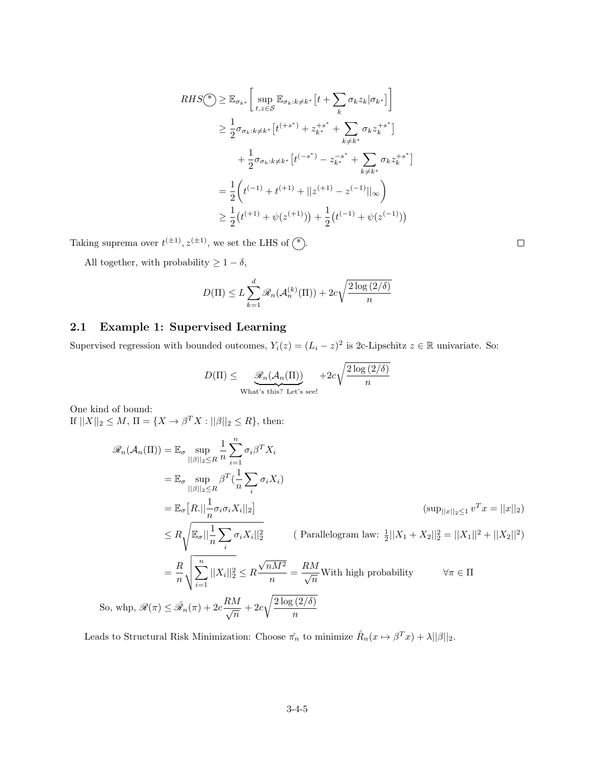$$
RHS(\mathscr{F}) \geq \mathbb{E}_{\sigma_{k^*}} \left[ \sup_{t,z \in \mathcal{S}} \mathbb{E}_{\sigma_k : k \neq k^*} \left[ t + \sum_k \sigma_k z_k |\sigma_{k^*} \right] \right]
$$
  
\n
$$
\geq \frac{1}{2} \sigma_{\sigma_k : k \neq k^*} \left[ t^{(+s^*)} + z_{k^*}^{+s^*} + \sum_{k \neq k^*} \sigma_k z_k^{+s^*} \right]
$$
  
\n
$$
+ \frac{1}{2} \sigma_{\sigma_k : k \neq k^*} \left[ t^{(-s^*)} - z_{k^*}^{-s^*} + \sum_{k \neq k^*} \sigma_k z_k^{+s^*} \right]
$$
  
\n
$$
= \frac{1}{2} \left( t^{(-1)} + t^{(+1)} + ||z^{(+1)} - z^{(-1)}||_{\infty} \right)
$$
  
\n
$$
\geq \frac{1}{2} \left( t^{(+1)} + \psi(z^{(+1)}) \right) + \frac{1}{2} \left( t^{(-1)} + \psi(z^{(-1)}) \right)
$$

Taking suprema over  $t^{(\pm 1)}$ ,  $z^{(\pm 1)}$ , we set the LHS of  $(*)$ .

All together, with probability  $\geq 1-\delta,$ 

$$
D(\Pi) \le L \sum_{k=1}^{d} \mathcal{R}_n(\mathcal{A}_n^{(k)}(\Pi)) + 2c\sqrt{\frac{2\log(2/\delta)}{n}}
$$

### 2.1 Example 1: Supervised Learning

Supervised regression with bounded outcomes,  $Y_i(z) = (L_i - z)^2$  is 2c-Lipschitz  $z \in \mathbb{R}$  univariate. So:

$$
D(\Pi) \leq \underbrace{\mathcal{R}_n(\mathcal{A}_n(\Pi))}_{\text{What's this? Let's see!}} + 2c\sqrt{\frac{2\log(2/\delta)}{n}}
$$

One kind of bound: If  $||X||_2 \le M$ ,  $\Pi = \{X \to \beta^T X : ||\beta||_2 \le R\}$ , then:

$$
\mathcal{R}_n(\mathcal{A}_n(\Pi)) = \mathbb{E}_{\sigma} \sup_{\|\beta\|_2 \le R} \frac{1}{n} \sum_{i=1}^n \sigma_i \beta^T X_i
$$
  
\n
$$
= \mathbb{E}_{\sigma} \sup_{\|\beta\|_2 \le R} \beta^T (\frac{1}{n} \sum_i \sigma_i X_i)
$$
  
\n
$$
= \mathbb{E}_{\sigma} [R. || \frac{1}{n} \sigma_i \sigma_i X_i ||_2]
$$
  
\n
$$
\le R \sqrt{\mathbb{E}_{\sigma} || \frac{1}{n} \sum_i \sigma_i X_i ||_2^2}
$$
  
\n
$$
= \frac{R}{n} \sqrt{\mathbb{E}_{\sigma} || \frac{1}{n} \sum_i \sigma_i X_i ||_2^2}
$$
  
\n
$$
= \frac{R}{n} \sqrt{\sum_{i=1}^n ||X_i||_2^2} \le R \frac{\sqrt{nM^2}}{n} = \frac{RM}{\sqrt{n}} \text{With high probability}
$$
  
\n
$$
\forall \pi \in \Pi
$$
  
\nSo, whp,  $\mathcal{R}(\pi) \le \hat{\mathcal{R}}_n(\pi) + 2c \frac{RM}{\sqrt{n}} + 2c \sqrt{\frac{2 \log(2/\delta)}{n}}$ 

Leads to Structural Risk Minimization: Choose  $\hat{\pi_n}$  to minimize  $\hat{R}_n(x \mapsto \beta^T x) + \lambda ||\beta||_2$ .

 $\Box$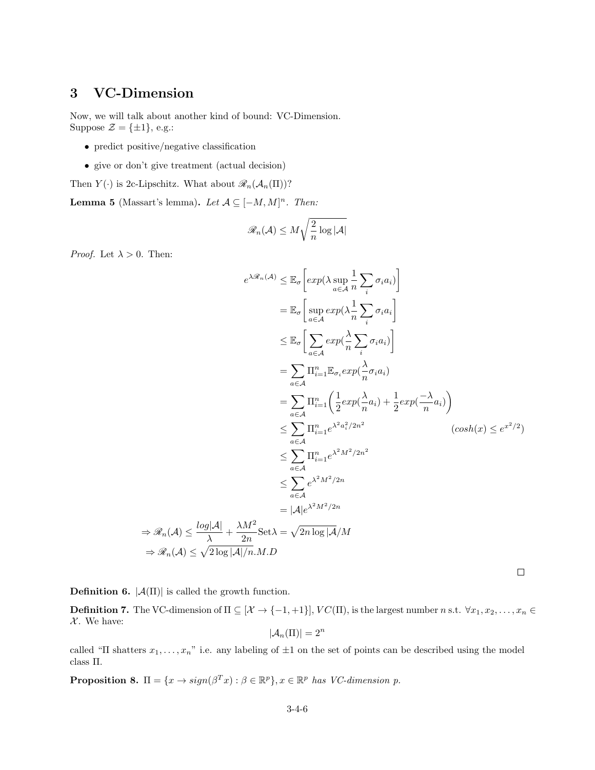# 3 VC-Dimension

Now, we will talk about another kind of bound: VC-Dimension. Suppose  $\mathcal{Z} = {\pm 1}$ , e.g.:

- predict positive/negative classification
- give or don't give treatment (actual decision)

Then  $Y(\cdot)$  is 2c-Lipschitz. What about  $\mathscr{R}_n(\mathcal{A}_n(\Pi))$ ?

**Lemma 5** (Massart's lemma). Let  $A \subseteq [-M, M]^n$ . Then:

$$
\mathscr{R}_n(\mathcal{A}) \leq M \sqrt{\frac{2}{n} \log |\mathcal{A}|}
$$

*Proof.* Let  $\lambda > 0$ . Then:

$$
e^{\lambda \mathscr{R}_n(A)} \leq \mathbb{E}_{\sigma} \left[ exp(\lambda \sup_{a \in A} \frac{1}{n} \sum_{i} \sigma_{i} a_{i}) \right]
$$
  
\n
$$
= \mathbb{E}_{\sigma} \left[ \sup_{a \in A} exp(\lambda \frac{1}{n} \sum_{i} \sigma_{i} a_{i}) \right]
$$
  
\n
$$
\leq \mathbb{E}_{\sigma} \left[ \sum_{a \in A} exp(\frac{\lambda}{n} \sum_{i} \sigma_{i} a_{i}) \right]
$$
  
\n
$$
= \sum_{a \in A} \Pi_{i=1}^{n} \mathbb{E}_{\sigma_{i}} exp(\frac{\lambda}{n} \sigma_{i} a_{i})
$$
  
\n
$$
= \sum_{a \in A} \Pi_{i=1}^{n} \left( \frac{1}{2} exp(\frac{\lambda}{n} a_{i}) + \frac{1}{2} exp(\frac{-\lambda}{n} a_{i}) \right)
$$
  
\n
$$
\leq \sum_{a \in A} \Pi_{i=1}^{n} e^{\lambda^{2} a_{i}^{2}/2n^{2}}
$$
  
\n
$$
\leq \sum_{a \in A} \Pi_{i=1}^{n} e^{\lambda^{2} M^{2}/2n^{2}}
$$
  
\n
$$
\leq \sum_{a \in A} e^{\lambda^{2} M^{2}/2n}
$$
  
\n
$$
= |\mathcal{A}| e^{\lambda^{2} M^{2}/2n}
$$
  
\n
$$
\Rightarrow \mathscr{R}_{n}(A) \leq \frac{\log |\mathcal{A}|}{\lambda} + \frac{\lambda M^{2}}{2n} \text{Set } \lambda = \sqrt{2n \log |\mathcal{A}|} M
$$
  
\n
$$
\Rightarrow \mathscr{R}_{n}(A) \leq \sqrt{2 \log |\mathcal{A}| / n} M.D
$$

**Definition 6.**  $|\mathcal{A}(\Pi)|$  is called the growth function.

**Definition 7.** The VC-dimension of  $\Pi \subseteq [\mathcal{X} \to \{-1, +1\}]$ ,  $VC(\Pi)$ , is the largest number n s.t.  $\forall x_1, x_2, \ldots, x_n \in$  $\mathcal{X}.$  We have:

$$
|\mathcal{A}_n(\Pi)| = 2^n
$$

called "Π shatters  $x_1, \ldots, x_n$ " i.e. any labeling of  $\pm 1$  on the set of points can be described using the model class Π.

**Proposition 8.**  $\Pi = \{x \to sign(\beta^T x) : \beta \in \mathbb{R}^p\}$ ,  $x \in \mathbb{R}^p$  has VC-dimension p.